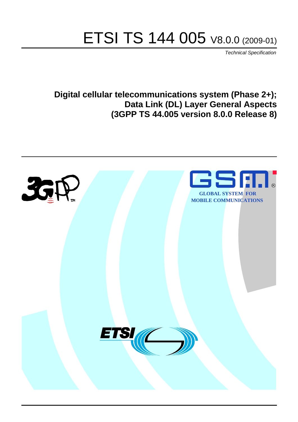# ETSI TS 144 005 V8.0.0 (2009-01)

*Technical Specification*

**Digital cellular telecommunications system (Phase 2+); Data Link (DL) Layer General Aspects (3GPP TS 44.005 version 8.0.0 Release 8)**

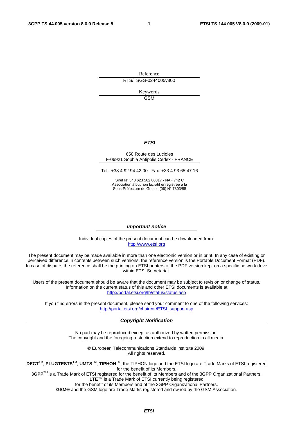Reference RTS/TSGG-0244005v800

> Keywords GSM

#### *ETSI*

#### 650 Route des Lucioles F-06921 Sophia Antipolis Cedex - FRANCE

Tel.: +33 4 92 94 42 00 Fax: +33 4 93 65 47 16

Siret N° 348 623 562 00017 - NAF 742 C Association à but non lucratif enregistrée à la Sous-Préfecture de Grasse (06) N° 7803/88

#### *Important notice*

Individual copies of the present document can be downloaded from: [http://www.etsi.org](http://www.etsi.org/)

The present document may be made available in more than one electronic version or in print. In any case of existing or perceived difference in contents between such versions, the reference version is the Portable Document Format (PDF). In case of dispute, the reference shall be the printing on ETSI printers of the PDF version kept on a specific network drive within ETSI Secretariat.

Users of the present document should be aware that the document may be subject to revision or change of status. Information on the current status of this and other ETSI documents is available at <http://portal.etsi.org/tb/status/status.asp>

If you find errors in the present document, please send your comment to one of the following services: [http://portal.etsi.org/chaircor/ETSI\\_support.asp](http://portal.etsi.org/chaircor/ETSI_support.asp)

#### *Copyright Notification*

No part may be reproduced except as authorized by written permission. The copyright and the foregoing restriction extend to reproduction in all media.

> © European Telecommunications Standards Institute 2009. All rights reserved.

**DECT**TM, **PLUGTESTS**TM, **UMTS**TM, **TIPHON**TM, the TIPHON logo and the ETSI logo are Trade Marks of ETSI registered for the benefit of its Members.

**3GPP**TM is a Trade Mark of ETSI registered for the benefit of its Members and of the 3GPP Organizational Partners. **LTE**™ is a Trade Mark of ETSI currently being registered

for the benefit of its Members and of the 3GPP Organizational Partners.

**GSM**® and the GSM logo are Trade Marks registered and owned by the GSM Association.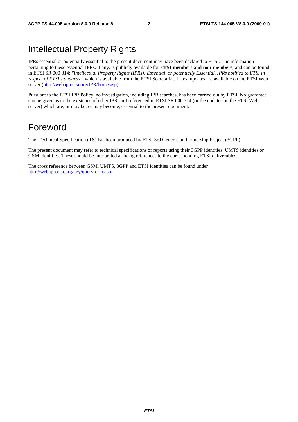# Intellectual Property Rights

IPRs essential or potentially essential to the present document may have been declared to ETSI. The information pertaining to these essential IPRs, if any, is publicly available for **ETSI members and non-members**, and can be found in ETSI SR 000 314: *"Intellectual Property Rights (IPRs); Essential, or potentially Essential, IPRs notified to ETSI in respect of ETSI standards"*, which is available from the ETSI Secretariat. Latest updates are available on the ETSI Web server ([http://webapp.etsi.org/IPR/home.asp\)](http://webapp.etsi.org/IPR/home.asp).

Pursuant to the ETSI IPR Policy, no investigation, including IPR searches, has been carried out by ETSI. No guarantee can be given as to the existence of other IPRs not referenced in ETSI SR 000 314 (or the updates on the ETSI Web server) which are, or may be, or may become, essential to the present document.

# Foreword

This Technical Specification (TS) has been produced by ETSI 3rd Generation Partnership Project (3GPP).

The present document may refer to technical specifications or reports using their 3GPP identities, UMTS identities or GSM identities. These should be interpreted as being references to the corresponding ETSI deliverables.

The cross reference between GSM, UMTS, 3GPP and ETSI identities can be found under [http://webapp.etsi.org/key/queryform.asp.](http://webapp.etsi.org/key/queryform.asp)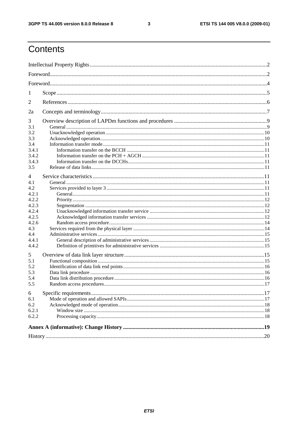$\mathbf{3}$ 

# Contents

| 1                                                                                                                               |  |  |  |  |  |
|---------------------------------------------------------------------------------------------------------------------------------|--|--|--|--|--|
| 2                                                                                                                               |  |  |  |  |  |
| 2a                                                                                                                              |  |  |  |  |  |
| 3<br>3.1<br>3.2<br>3.3<br>3.4                                                                                                   |  |  |  |  |  |
| 3.4.1<br>3.4.2<br>3.4.3<br>3.5                                                                                                  |  |  |  |  |  |
| 4<br>4.1<br>4.2<br>4.2.1<br>4.2.2<br>4.2.3<br>4.2.4<br>4.2.5<br>4.2.6<br>4.3<br>4.4<br>4.4.1<br>4.4.2<br>5<br>5.1<br>5.2<br>5.3 |  |  |  |  |  |
| 5.4<br>5.5                                                                                                                      |  |  |  |  |  |
| 6<br>6.1<br>6.2<br>6.2.1<br>6.2.2                                                                                               |  |  |  |  |  |
|                                                                                                                                 |  |  |  |  |  |
|                                                                                                                                 |  |  |  |  |  |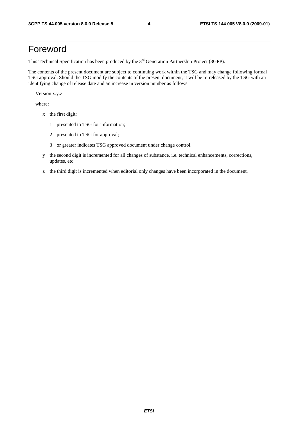# Foreword

This Technical Specification has been produced by the 3<sup>rd</sup> Generation Partnership Project (3GPP).

The contents of the present document are subject to continuing work within the TSG and may change following formal TSG approval. Should the TSG modify the contents of the present document, it will be re-released by the TSG with an identifying change of release date and an increase in version number as follows:

Version x.y.z

where:

- x the first digit:
	- 1 presented to TSG for information;
	- 2 presented to TSG for approval;
	- 3 or greater indicates TSG approved document under change control.
- y the second digit is incremented for all changes of substance, i.e. technical enhancements, corrections, updates, etc.
- z the third digit is incremented when editorial only changes have been incorporated in the document.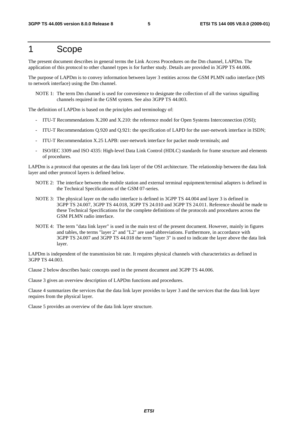# 1 Scope

The present document describes in general terms the Link Access Procedures on the Dm channel, LAPDm. The application of this protocol to other channel types is for further study. Details are provided in 3GPP TS 44.006.

The purpose of LAPDm is to convey information between layer 3 entities across the GSM PLMN radio interface (MS to network interface) using the Dm channel.

NOTE 1: The term Dm channel is used for convenience to designate the collection of all the various signalling channels required in the GSM system. See also 3GPP TS 44.003.

The definition of LAPDm is based on the principles and terminology of:

- ITU-T Recommendations X.200 and X.210: the reference model for Open Systems Interconnection (OSI);
- ITU-T Recommendations Q.920 and Q.921: the specification of LAPD for the user-network interface in ISDN;
- ITU-T Recommendation X.25 LAPB: user-network interface for packet mode terminals; and
- ISO/IEC 3309 and ISO 4335: High-level Data Link Control (HDLC) standards for frame structure and elements of procedures.

LAPDm is a protocol that operates at the data link layer of the OSI architecture. The relationship between the data link layer and other protocol layers is defined below.

- NOTE 2: The interface between the mobile station and external terminal equipment/terminal adapters is defined in the Technical Specifications of the GSM 07-series.
- NOTE 3: The physical layer on the radio interface is defined in 3GPP TS 44.004 and layer 3 is defined in 3GPP TS 24.007, 3GPP TS 44.018, 3GPP TS 24.010 and 3GPP TS 24.011. Reference should be made to these Technical Specifications for the complete definitions of the protocols and procedures across the GSM PLMN radio interface.
- NOTE 4: The term "data link layer" is used in the main text of the present document. However, mainly in figures and tables, the terms "layer 2" and "L2" are used abbreviations. Furthermore, in accordance with 3GPP TS 24.007 and 3GPP TS 44.018 the term "layer 3" is used to indicate the layer above the data link layer.

LAPDm is independent of the transmission bit rate. It requires physical channels with characteristics as defined in 3GPP TS 44.003.

Clause 2 below describes basic concepts used in the present document and 3GPP TS 44.006.

Clause 3 gives an overview description of LAPDm functions and procedures.

Clause 4 summarizes the services that the data link layer provides to layer 3 and the services that the data link layer requires from the physical layer.

Clause 5 provides an overview of the data link layer structure.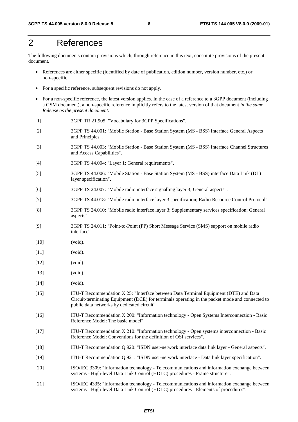# 2 References

The following documents contain provisions which, through reference in this text, constitute provisions of the present document.

- References are either specific (identified by date of publication, edition number, version number, etc.) or non-specific.
- For a specific reference, subsequent revisions do not apply.
- For a non-specific reference, the latest version applies. In the case of a reference to a 3GPP document (including a GSM document), a non-specific reference implicitly refers to the latest version of that document *in the same Release as the present document*.
- [1] 3GPP TR 21.905: "Vocabulary for 3GPP Specifications".
- [2] 3GPP TS 44.001: "Mobile Station Base Station System (MS BSS) Interface General Aspects and Principles".
- [3] 3GPP TS 44.003: "Mobile Station Base Station System (MS BSS) Interface Channel Structures and Access Capabilities".
- [4] 3GPP TS 44.004: "Layer 1; General requirements".
- [5] 3GPP TS 44.006: "Mobile Station Base Station System (MS BSS) interface Data Link (DL) layer specification".
- [6] 3GPP TS 24.007: "Mobile radio interface signalling layer 3; General aspects".
- [7] 3GPP TS 44.018: "Mobile radio interface layer 3 specification; Radio Resource Control Protocol".
- [8] 3GPP TS 24.010: "Mobile radio interface layer 3; Supplementary services specification; General aspects".
- [9] 3GPP TS 24.011: "Point-to-Point (PP) Short Message Service (SMS) support on mobile radio interface".
- [10] (void).
- [11] (void).
- [12] (void).
- [13] (void).
- [14] (void).
- [15] ITU-T Recommendation X.25: "Interface between Data Terminal Equipment (DTE) and Data Circuit-terminating Equipment (DCE) for terminals operating in the packet mode and connected to public data networks by dedicated circuit".
- [16] ITU-T Recommendation X.200: "Information technology Open Systems Interconnection Basic Reference Model: The basic model".
- [17] ITU-T Recommendation X.210: "Information technology Open systems interconnection Basic Reference Model: Conventions for the definition of OSI services".
- [18] ITU-T Recommendation Q.920: "ISDN user-network interface data link layer General aspects".
- [19] ITU-T Recommendation Q.921: "ISDN user-network interface Data link layer specification".
- [20] ISO/IEC 3309: "Information technology Telecommunications and information exchange between systems - High-level Data Link Control (HDLC) procedures - Frame structure".
- [21] ISO/IEC 4335: "Information technology Telecommunications and information exchange between systems - High-level Data Link Control (HDLC) procedures - Elements of procedures".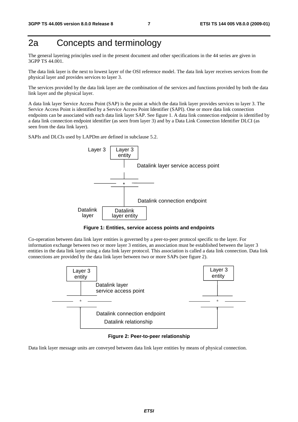# 2a Concepts and terminology

The general layering principles used in the present document and other specifications in the 44 series are given in 3GPP TS 44.001.

The data link layer is the next to lowest layer of the OSI reference model. The data link layer receives services from the physical layer and provides services to layer 3.

The services provided by the data link layer are the combination of the services and functions provided by both the data link layer and the physical layer.

A data link layer Service Access Point (SAP) is the point at which the data link layer provides services to layer 3. The Service Access Point is identified by a Service Access Point Identifier (SAPI). One or more data link connection endpoints can be associated with each data link layer SAP. See figure 1. A data link connection endpoint is identified by a data link connection endpoint identifier (as seen from layer 3) and by a Data Link Connection Identifier DLCI (as seen from the data link layer).

SAPIs and DLCIs used by LAPDm are defined in subclause 5.2.



**Figure 1: Entities, service access points and endpoints** 

Co-operation between data link layer entities is governed by a peer-to-peer protocol specific to the layer. For information exchange between two or more layer 3 entities, an association must be established between the layer 3 entities in the data link layer using a data link layer protocol. This association is called a data link connection. Data link connections are provided by the data link layer between two or more SAPs (see figure 2).



**Figure 2: Peer-to-peer relationship** 

Data link layer message units are conveyed between data link layer entities by means of physical connection.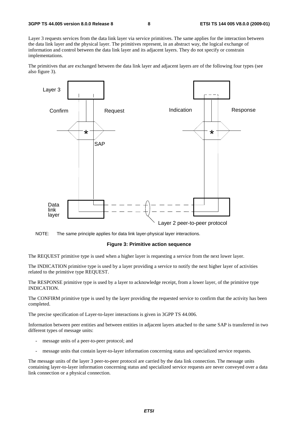Layer 3 requests services from the data link layer via service primitives. The same applies for the interaction between the data link layer and the physical layer. The primitives represent, in an abstract way, the logical exchange of information and control between the data link layer and its adjacent layers. They do not specify or constrain implementations.

The primitives that are exchanged between the data link layer and adjacent layers are of the following four types (see also figure 3).



NOTE: The same principle applies for data link layer-physical layer interactions.

#### **Figure 3: Primitive action sequence**

The REQUEST primitive type is used when a higher layer is requesting a service from the next lower layer.

The INDICATION primitive type is used by a layer providing a service to notify the next higher layer of activities related to the primitive type REQUEST.

The RESPONSE primitive type is used by a layer to acknowledge receipt, from a lower layer, of the primitive type INDICATION.

The CONFIRM primitive type is used by the layer providing the requested service to confirm that the activity has been completed.

The precise specification of Layer-to-layer interactions is given in 3GPP TS 44.006.

Information between peer entities and between entities in adjacent layers attached to the same SAP is transferred in two different types of message units:

- message units of a peer-to-peer protocol; and
- message units that contain layer-to-layer information concerning status and specialized service requests.

The message units of the layer 3 peer-to-peer protocol are carried by the data link connection. The message units containing layer-to-layer information concerning status and specialized service requests are never conveyed over a data link connection or a physical connection.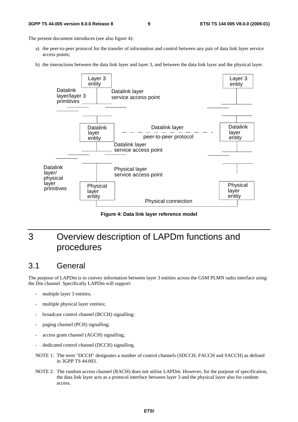#### **3GPP TS 44.005 version 8.0.0 Release 8 9 ETSI TS 144 005 V8.0.0 (2009-01)**

The present document introduces (see also figure 4):

- a) the peer-to-peer protocol for the transfer of information and control between any pair of data link layer service access points;
- b) the interactions between the data link layer and layer 3, and between the data link layer and the physical layer.



**Figure 4: Data link layer reference model** 

# 3 Overview description of LAPDm functions and procedures

# 3.1 General

The purpose of LAPDm is to convey information between layer 3 entities across the GSM PLMN radio interface using the Dm channel. Specifically LAPDm will support:

- multiple layer 3 entities;
- multiple physical layer entities;
- broadcast control channel (BCCH) signalling;
- paging channel (PCH) signalling;
- access grant channel (AGCH) signalling;
- dedicated control channel (DCCH) signalling.
- NOTE 1: The term "DCCH" designates a number of control channels (SDCCH, FACCH and SACCH) as defined in 3GPP TS 44.003.
- NOTE 2: The random access channel (RACH) does not utilise LAPDm. However, for the purpose of specification, the data link layer acts as a protocol interface between layer 3 and the physical layer also for random access.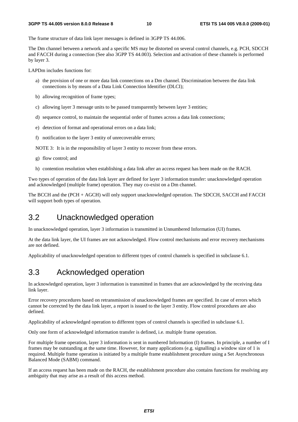The frame structure of data link layer messages is defined in 3GPP TS 44.006.

The Dm channel between a network and a specific MS may be distorted on several control channels, e.g. PCH, SDCCH and FACCH during a connection (See also 3GPP TS 44.003). Selection and activation of these channels is performed by layer 3.

LAPDm includes functions for:

- a) the provision of one or more data link connections on a Dm channel. Discrimination between the data link connections is by means of a Data Link Connection Identifier (DLCI);
- b) allowing recognition of frame types;
- c) allowing layer 3 message units to be passed transparently between layer 3 entities;
- d) sequence control, to maintain the sequential order of frames across a data link connections;
- e) detection of format and operational errors on a data link;
- f) notification to the layer 3 entity of unrecoverable errors;

NOTE 3: It is in the responsibility of layer 3 entity to recover from these errors.

- g) flow control; and
- h) contention resolution when establishing a data link after an access request has been made on the RACH.

Two types of operation of the data link layer are defined for layer 3 information transfer: unacknowledged operation and acknowledged (multiple frame) operation. They may co-exist on a Dm channel.

The BCCH and the (PCH + AGCH) will only support unacknowledged operation. The SDCCH, SACCH and FACCH will support both types of operation.

## 3.2 Unacknowledged operation

In unacknowledged operation, layer 3 information is transmitted in Unnumbered Information (UI) frames.

At the data link layer, the UI frames are not acknowledged. Flow control mechanisms and error recovery mechanisms are not defined.

Applicability of unacknowledged operation to different types of control channels is specified in subclause 6.1.

### 3.3 Acknowledged operation

In acknowledged operation, layer 3 information is transmitted in frames that are acknowledged by the receiving data link layer.

Error recovery procedures based on retransmission of unacknowledged frames are specified. In case of errors which cannot be corrected by the data link layer, a report is issued to the layer 3 entity. Flow control procedures are also defined.

Applicability of acknowledged operation to different types of control channels is specified in subclause 6.1.

Only one form of acknowledged information transfer is defined, i.e. multiple frame operation.

For multiple frame operation, layer 3 information is sent in numbered Information (I) frames. In principle, a number of I frames may be outstanding at the same time. However, for many applications (e.g. signalling) a window size of 1 is required. Multiple frame operation is initiated by a multiple frame establishment procedure using a Set Asynchronous Balanced Mode (SABM) command.

If an access request has been made on the RACH, the establishment procedure also contains functions for resolving any ambiguity that may arise as a result of this access method.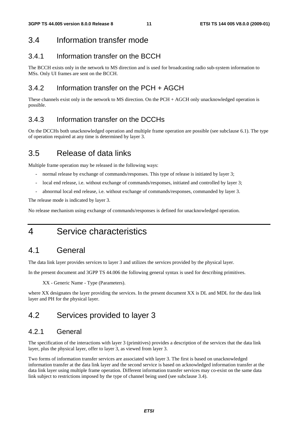# 3.4 Information transfer mode

### 3.4.1 Information transfer on the BCCH

The BCCH exists only in the network to MS direction and is used for broadcasting radio sub-system information to MSs. Only UI frames are sent on the BCCH.

### 3.4.2 Information transfer on the PCH + AGCH

These channels exist only in the network to MS direction. On the PCH + AGCH only unacknowledged operation is possible.

### 3.4.3 Information transfer on the DCCHs

On the DCCHs both unacknowledged operation and multiple frame operation are possible (see subclause 6.1). The type of operation required at any time is determined by layer 3.

# 3.5 Release of data links

Multiple frame operation may be released in the following ways:

- normal release by exchange of commands/responses. This type of release is initiated by layer 3;
- local end release, i.e. without exchange of commands/responses, initiated and controlled by layer 3;
- abnormal local end release, i.e. without exchange of commands/responses, commanded by layer 3.

The release mode is indicated by layer 3.

No release mechanism using exchange of commands/responses is defined for unacknowledged operation.

4 Service characteristics

# 4.1 General

The data link layer provides services to layer 3 and utilizes the services provided by the physical layer.

In the present document and 3GPP TS 44.006 the following general syntax is used for describing primitives.

XX - Generic Name - Type (Parameters).

where XX designates the layer providing the services. In the present document XX is DL and MDL for the data link layer and PH for the physical layer.

# 4.2 Services provided to layer 3

### 4.2.1 General

The specification of the interactions with layer 3 (primitives) provides a description of the services that the data link layer, plus the physical layer, offer to layer 3, as viewed from layer 3.

Two forms of information transfer services are associated with layer 3. The first is based on unacknowledged information transfer at the data link layer and the second service is based on acknowledged information transfer at the data link layer using multiple frame operation. Different information transfer services may co-exist on the same data link subject to restrictions imposed by the type of channel being used (see subclause 3.4).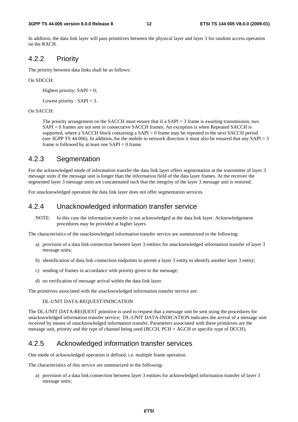In addition, the data link layer will pass primitives between the physical layer and layer 3 for random access operation on the RACH.

### 4.2.2 Priority

The priority between data links shall be as follows:

#### On SDCCH:

Highest priority:  $SAPI = 0$ ;

Lowest priority :  $SAPI = 3$ .

#### On SACCH:

 The priority arrangement on the SACCH must ensure that if a SAPI = 3 frame is awaiting transmission, two SAPI = 0 frames are not sent in consecutive SACCH frames. An exception is when Repeated SACCH is supported, where a SACCH block containing a  $SAPI = 0$  frame may be repeated in the next SACCH period (see 3GPP TS 44.006). In addition, for the mobile to network direction it must also be ensured that any SAPI = 3 frame is followed by at least one  $SAPI = 0$  frame.

### 4.2.3 Segmentation

For the acknowledged mode of information transfer the data link layer offers segmentation at the transmitter of layer 3 message units if the message unit is longer than the information field of the data layer frames. At the receiver the segmented layer 3 message units are concatenated such that the integrity of the layer 3 message unit is restored.

For unacknowledged operation the data link layer does not offer segmentation services.

### 4.2.4 Unacknowledged information transfer service

NOTE: In this case the information transfer is not acknowledged at the data link layer. Acknowledgement procedures may be provided at higher layers.

The characteristics of the unacknowledged information transfer service are summarized in the following:

- a) provision of a data link connection between layer 3 entities for unacknowledged information transfer of layer 3 message units;
- b) identification of data link connection endpoints to permit a layer 3 entity to identify another layer 3 entity;
- c) sending of frames in accordance with priority given to the message;
- d) no verification of message arrival within the data link layer.

The primitives associated with the unacknowledged information transfer service are:

#### DL-UNIT DATA-REQUEST/INDICATION

The DL-UNIT DATA-REQUEST primitive is used to request that a message unit be sent using the procedures for unacknowledged information transfer service; DL-UNIT DATA-INDICATION indicates the arrival of a message unit received by means of unacknowledged information transfer. Parameters associated with these primitives are the message unit, priority and the type of channel being used (BCCH, PCH + AGCH or specific type of DCCH).

### 4.2.5 Acknowledged information transfer services

One mode of acknowledged operation is defined, i.e. multiple frame operation.

The characteristics of this service are summarized in the following:

a) provision of a data link connection between layer 3 entities for acknowledged information transfer of layer 3 message units;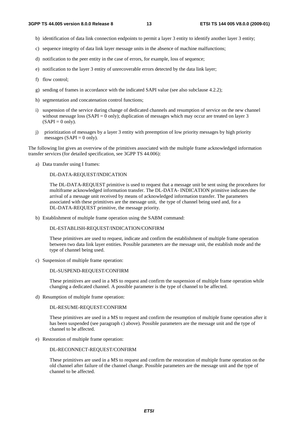- b) identification of data link connection endpoints to permit a layer 3 entity to identify another layer 3 entity;
- c) sequence integrity of data link layer message units in the absence of machine malfunctions;
- d) notification to the peer entity in the case of errors, for example, loss of sequence;
- e) notification to the layer 3 entity of unrecoverable errors detected by the data link layer;
- f) flow control;
- g) sending of frames in accordance with the indicated SAPI value (see also subclause 4.2.2);
- h) segmentation and concatenation control functions;
- i) suspension of the service during change of dedicated channels and resumption of service on the new channel without message loss  $(SAPI = 0$  only); duplication of messages which may occur are treated on layer 3  $(SAPI = 0$  only).
- j) prioritization of messages by a layer 3 entity with preemption of low priority messages by high priority messages (SAPI =  $0$  only).

The following list gives an overview of the primitives associated with the multiple frame acknowledged information transfer services (for detailed specification, see 3GPP TS 44.006):

a) Data transfer using I frames:

#### DL-DATA-REQUEST/INDICATION

 The DL-DATA-REQUEST primitive is used to request that a message unit be sent using the procedures for multiframe acknowledged information transfer. The DL-DATA- INDICATION primitive indicates the arrival of a message unit received by means of acknowledged information transfer. The parameters associated with these primitives are the message unit, the type of channel being used and, for a DL-DATA-REQUEST primitive, the message priority.

b) Establishment of multiple frame operation using the SABM command:

#### DL-ESTABLISH-REQUEST/INDICATION/CONFIRM

 These primitives are used to request, indicate and confirm the establishment of multiple frame operation between two data link layer entities. Possible parameters are the message unit, the establish mode and the type of channel being used.

c) Suspension of multiple frame operation:

#### DL-SUSPEND-REQUEST/CONFIRM

 These primitives are used in a MS to request and confirm the suspension of multiple frame operation while changing a dedicated channel. A possible parameter is the type of channel to be affected.

d) Resumption of multiple frame operation:

#### DL-RESUME-REQUEST/CONFIRM

 These primitives are used in a MS to request and confirm the resumption of multiple frame operation after it has been suspended (see paragraph c) above). Possible parameters are the message unit and the type of channel to be affected.

e) Restoration of multiple frame operation:

#### DL-RECONNECT-REQUEST/CONFIRM

 These primitives are used in a MS to request and confirm the restoration of multiple frame operation on the old channel after failure of the channel change. Possible parameters are the message unit and the type of channel to be affected.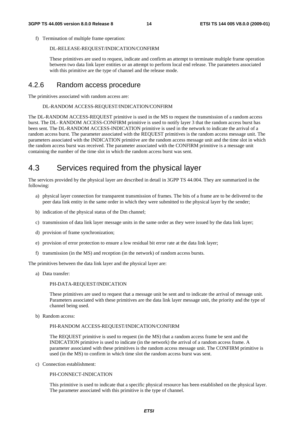f) Termination of multiple frame operation:

#### DL-RELEASE-REQUEST/INDICATION/CONFIRM

 These primitives are used to request, indicate and confirm an attempt to terminate multiple frame operation between two data link layer entities or an attempt to perform local end release. The parameters associated with this primitive are the type of channel and the release mode.

### 4.2.6 Random access procedure

The primitives associated with random access are:

#### DL-RANDOM ACCESS-REQUEST/INDICATION/CONFIRM

The DL-RANDOM ACCESS-REQUEST primitive is used in the MS to request the transmission of a random access burst. The DL- RANDOM ACCESS-CONFIRM primitive is used to notify layer 3 that the random access burst has been sent. The DL-RANDOM ACCESS-INDICATION primitive is used in the network to indicate the arrival of a random access burst. The parameter associated with the REQUEST primitives is the random access message unit. The parameters associated with the INDICATION primitive are the random access message unit and the time slot in which the random access burst was received. The parameter associated with the CONFIRM primitive is a message unit containing the number of the time slot in which the random access burst was sent.

# 4.3 Services required from the physical layer

The services provided by the physical layer are described in detail in 3GPP TS 44.004. They are summarized in the following:

- a) physical layer connection for transparent transmission of frames. The bits of a frame are to be delivered to the peer data link entity in the same order in which they were submitted to the physical layer by the sender;
- b) indication of the physical status of the Dm channel;
- c) transmission of data link layer message units in the same order as they were issued by the data link layer;
- d) provision of frame synchronization;
- e) provision of error protection to ensure a low residual bit error rate at the data link layer;
- f) transmission (in the MS) and reception (in the network) of random access bursts.

The primitives between the data link layer and the physical layer are:

a) Data transfer:

#### PH-DATA-REQUEST/INDICATION

 These primitives are used to request that a message unit be sent and to indicate the arrival of message unit. Parameters associated with these primitives are the data link layer message unit, the priority and the type of channel being used.

b) Random access:

#### PH-RANDOM ACCESS-REQUEST/INDICATION/CONFIRM

 The REQUEST primitive is used to request (in the MS) that a random access frame be sent and the INDICATION primitive is used to indicate (in the network) the arrival of a random access frame. A parameter associated with these primitives is the random access message unit. The CONFIRM primitive is used (in the MS) to confirm in which time slot the random access burst was sent.

c) Connection establishment:

#### PH-CONNECT-INDICATION

 This primitive is used to indicate that a specific physical resource has been established on the physical layer. The parameter associated with this primitive is the type of channel.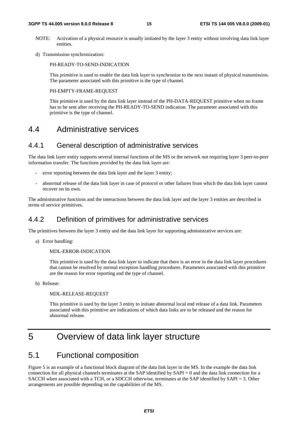#### **3GPP TS 44.005 version 8.0.0 Release 8 15 ETSI TS 144 005 V8.0.0 (2009-01)**

- NOTE: Activation of a physical resource is usually initiated by the layer 3 entity without involving data link layer entities.
- d) Transmission synchronization:

PH-READY-TO-SEND-INDICATION

 This primitive is used to enable the data link layer to synchronize to the next instant of physical transmission. The parameter associated with this primitive is the type of channel.

#### PH-EMPTY-FRAME-REQUEST

 This primitive is used by the data link layer instead of the PH-DATA-REQUEST primitive when no frame has to be sent after receiving the PH-READY-TO-SEND indication. The parameter associated with this primitive is the type of channel.

### 4.4 Administrative services

### 4.4.1 General description of administrative services

The data link layer entity supports several internal functions of the MS or the network not requiring layer 3 peer-to-peer information transfer. The functions provided by the data link layer are:

- error reporting between the data link layer and the layer 3 entity;
- abnormal release of the data link layer in case of protocol or other failures from which the data link layer cannot recover on its own.

The administrative functions and the interactions between the data link layer and the layer 3 entities are described in terms of service primitives.

### 4.4.2 Definition of primitives for administrative services

The primitives between the layer 3 entity and the data link layer for supporting administrative services are:

a) Error handling:

#### MDL-ERROR-INDICATION

 This primitive is used by the data link layer to indicate that there is an error in the data link layer procedures that cannot be resolved by normal exception handling procedures. Parameters associated with this primitive are the reason for error reporting and the type of channel.

b) Release:

#### MDL-RELEASE-REQUEST

 This primitive is used by the layer 3 entity to initiate abnormal local end release of a data link. Parameters associated with this primitive are indications of which data links are to be released and the reason for abnormal release.

# 5 Overview of data link layer structure

### 5.1 Functional composition

Figure 5 is an example of a functional block diagram of the data link layer in the MS. In the example the data link connection for all physical channels terminates at the SAP identified by SAPI = 0 and the data link connection for a SACCH when associated with a TCH, or a SDCCH otherwise, terminates at the SAP identified by SAPI = 3. Other arrangements are possible depending on the capabilities of the MS.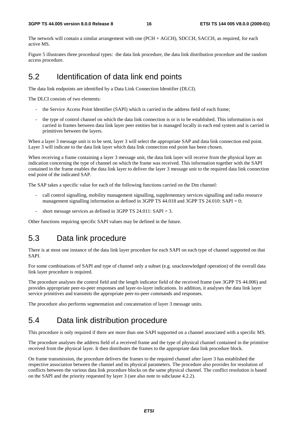The network will contain a similar arrangement with one (PCH + AGCH), SDCCH, SACCH, as required, for each active MS.

Figure 5 illustrates three procedural types: the data link procedure, the data link distribution procedure and the random access procedure.

# 5.2 Identification of data link end points

The data link endpoints are identified by a Data Link Connection Identifier (DLCI).

The DLCI consists of two elements:

- the Service Access Point Identifier (SAPI) which is carried in the address field of each frame;
- the type of control channel on which the data link connection is or is to be established. This information is not carried in frames between data link layer peer entities but is managed locally in each end system and is carried in primitives between the layers.

When a layer 3 message unit is to be sent, layer 3 will select the appropriate SAP and data link connection end point. Layer 3 will indicate to the data link layer which data link connection end point has been chosen.

When receiving a frame containing a layer 3 message unit, the data link layer will receive from the physical layer an indication concerning the type of channel on which the frame was received. This information together with the SAPI contained in the frame enables the data link layer to deliver the layer 3 message unit to the required data link connection end point of the indicated SAP.

The SAP takes a specific value for each of the following functions carried on the Dm channel:

- call control signalling, mobility management signalling, supplementary services signalling and radio resource management signalling information as defined in 3GPP TS 44.018 and 3GPP TS 24.010: SAPI = 0;
- short message services as defined in 3GPP TS 24.011: SAPI = 3.

Other functions requiring specific SAPI values may be defined in the future.

## 5.3 Data link procedure

There is at most one instance of the data link layer procedure for each SAPI on each type of channel supported on that SAPI.

For some combinations of SAPI and type of channel only a subset (e.g. unacknowledged operation) of the overall data link layer procedure is required.

The procedure analyses the control field and the length indicator field of the received frame (see 3GPP TS 44.006) and provides appropriate peer-to-peer responses and layer-to-layer indications. In addition, it analyses the data link layer service primitives and transmits the appropriate peer-to-peer commands and responses.

The procedure also performs segmentation and concatenation of layer 3 message units.

## 5.4 Data link distribution procedure

This procedure is only required if there are more than one SAPI supported on a channel associated with a specific MS.

The procedure analyses the address field of a received frame and the type of physical channel contained in the primitive received from the physical layer. It then distributes the frames to the appropriate data link procedure block.

On frame transmission, the procedure delivers the frames to the required channel after layer 3 has established the respective association between the channel and its physical parameters. The procedure also provides for resolution of conflicts between the various data link procedure blocks on the same physical channel. The conflict resolution is based on the SAPI and the priority requested by layer 3 (see also note to subclause 4.2.2).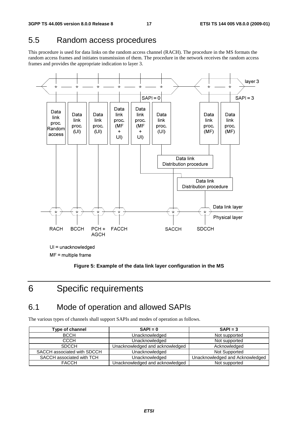# 5.5 Random access procedures

This procedure is used for data links on the random access channel (RACH). The procedure in the MS formats the random access frames and initiates transmission of them. The procedure in the network receives the random access frames and provides the appropriate indication to layer 3.



 $MF =$  multiple frame

**Figure 5: Example of the data link layer configuration in the MS** 

# 6 Specific requirements

# 6.1 Mode of operation and allowed SAPIs

The various types of channels shall support SAPIs and modes of operation as follows.

| Type of channel             | $SAPI = 0$                      | $SAPI = 3$                      |  |
|-----------------------------|---------------------------------|---------------------------------|--|
| <b>BCCH</b>                 | Unacknowledged                  | Not supported                   |  |
| <b>CCCH</b>                 | Unacknowledged                  | Not supported                   |  |
| <b>SDCCH</b>                | Unacknowledged and acknowledged | Acknowledged                    |  |
| SACCH associated with SDCCH | Unacknowledged                  | Not Supported                   |  |
| SACCH associated with TCH   | Unacknowledged                  | Unacknowledged and Acknowledged |  |
| <b>FACCH</b>                | Unacknowledged and acknowledged | Not supported                   |  |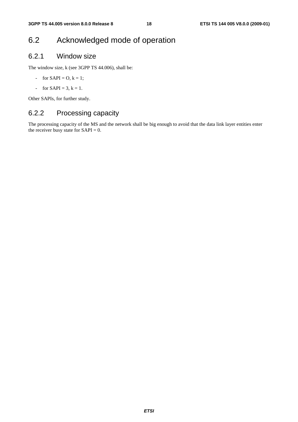# 6.2 Acknowledged mode of operation

### 6.2.1 Window size

The window size, k (see 3GPP TS 44.006), shall be:

- for  $SAPI = O, k = 1;$
- for  $SAPI = 3, k = 1$ .

Other SAPIs, for further study.

### 6.2.2 Processing capacity

The processing capacity of the MS and the network shall be big enough to avoid that the data link layer entities enter the receiver busy state for  $SAPI = 0$ .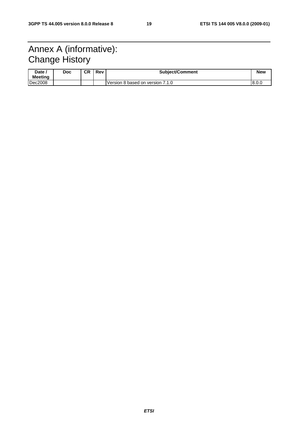# Annex A (informative): Change History

| Date<br><b>Meeting</b> | Doc | СR | Rev | <b>Subiect/Comment</b>           | <b>New</b> |
|------------------------|-----|----|-----|----------------------------------|------------|
| Dec2008                |     |    |     | Version 8 based on version 7.1.0 | 8.0.0      |